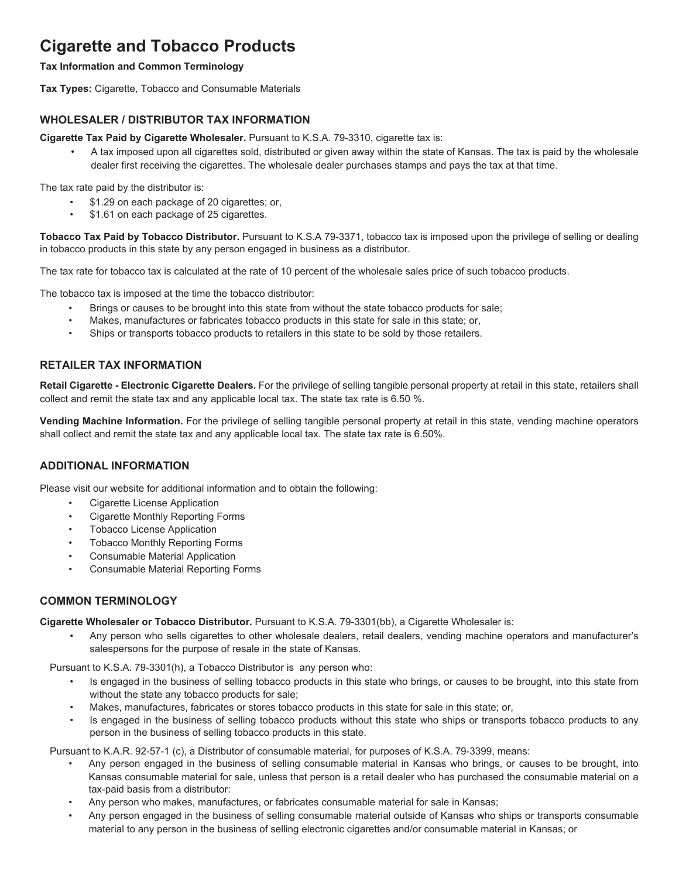# **Cigarette and Tobacco Products**

#### **Tax Information and Common Terminology**

**Tax Types:** Cigarette, Tobacco and Consumable Materials

# **WHOLESALER / DISTRIBUTOR TAX INFORMATION**

**Cigarette Tax Paid by Cigarette Wholesaler.** Pursuant to K.S.A. 79-3310, cigarette tax is:

• A tax imposed upon all cigarettes sold, distributed or given away within the state of Kansas. The tax is paid by the wholesale dealer first receiving the cigarettes. The wholesale dealer purchases stamps and pays the tax at that time.

The tax rate paid by the distributor is:

- \$1.29 on each package of 20 cigarettes; or,
- \$1.61 on each package of 25 cigarettes.

**Tobacco Tax Paid by Tobacco Distributor.** Pursuant to K.S.A 79-3371, tobacco tax is imposed upon the privilege of selling or dealing in tobacco products in this state by any person engaged in business as a distributor.

The tax rate for tobacco tax is calculated at the rate of 10 percent of the wholesale sales price of such tobacco products.

The tobacco tax is imposed at the time the tobacco distributor:

- Brings or causes to be brought into this state from without the state tobacco products for sale;
- Makes, manufactures or fabricates tobacco products in this state for sale in this state; or,
- Ships or transports tobacco products to retailers in this state to be sold by those retailers.

# **RETAILER TAX INFORMATION**

**Retail Cigarette - Electronic Cigarette Dealers.** For the privilege of selling tangible personal property at retail in this state, retailers shall collect and remit the state tax and any applicable local tax. The state tax rate is 6.50 %.

**Vending Machine Information.** For the privilege of selling tangible personal property at retail in this state, vending machine operators shall collect and remit the state tax and any applicable local tax. The state tax rate is 6.50%.

# **ADDITIONAL INFORMATION**

Please visit our website for additional information and to obtain the following:

- Cigarette License Application
- Cigarette Monthly Reporting Forms
- **Tobacco License Application**
- Tobacco Monthly Reporting Forms
- Consumable Material Application
- Consumable Material Reporting Forms

# **COMMON TERMINOLOGY**

**Cigarette Wholesaler or Tobacco Distributor.** Pursuant to K.S.A. 79-3301(bb), a Cigarette Wholesaler is:

• Any person who sells cigarettes to other wholesale dealers, retail dealers, vending machine operators and manufacturer's salespersons for the purpose of resale in the state of Kansas.

Pursuant to K.S.A. 79-3301(h), a Tobacco Distributor is any person who:

- Is engaged in the business of selling tobacco products in this state who brings, or causes to be brought, into this state from without the state any tobacco products for sale;
- Makes, manufactures, fabricates or stores tobacco products in this state for sale in this state; or,
- Is engaged in the business of selling tobacco products without this state who ships or transports tobacco products to any person in the business of selling tobacco products in this state.

Pursuant to K.A.R. 92-57-1 (c), a Distributor of consumable material, for purposes of K.S.A. 79-3399, means:

- Any person engaged in the business of selling consumable material in Kansas who brings, or causes to be brought, into Kansas consumable material for sale, unless that person is a retail dealer who has purchased the consumable material on a tax-paid basis from a distributor:
- Any person who makes, manufactures, or fabricates consumable material for sale in Kansas;
- Any person engaged in the business of selling consumable material outside of Kansas who ships or transports consumable material to any person in the business of selling electronic cigarettes and/or consumable material in Kansas; or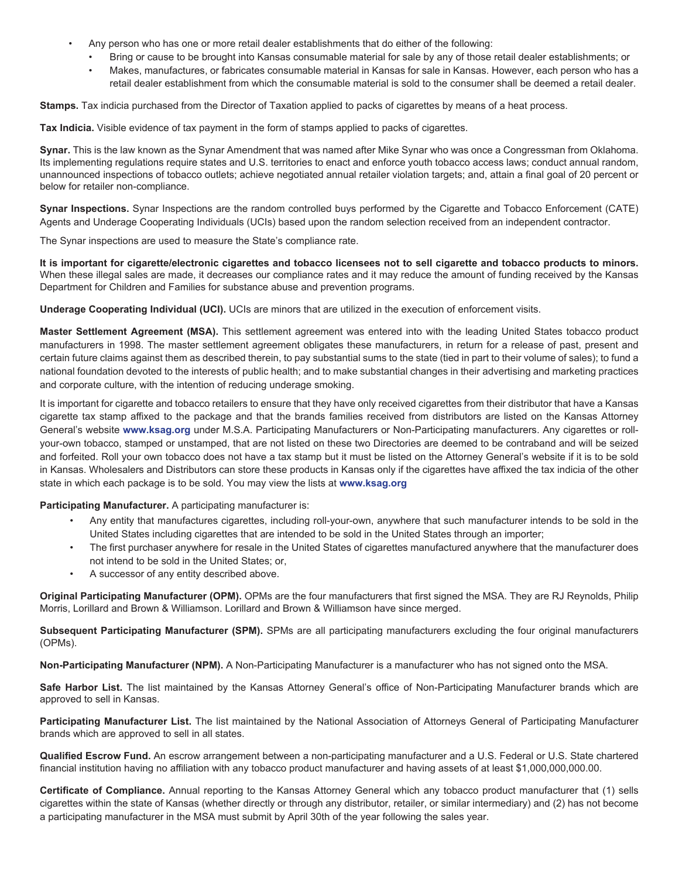- Any person who has one or more retail dealer establishments that do either of the following:
	- Bring or cause to be brought into Kansas consumable material for sale by any of those retail dealer establishments; or
	- Makes, manufactures, or fabricates consumable material in Kansas for sale in Kansas. However, each person who has a retail dealer establishment from which the consumable material is sold to the consumer shall be deemed a retail dealer.

**Stamps.** Tax indicia purchased from the Director of Taxation applied to packs of cigarettes by means of a heat process.

**Tax Indicia.** Visible evidence of tax payment in the form of stamps applied to packs of cigarettes.

**Synar.** This is the law known as the Synar Amendment that was named after Mike Synar who was once a Congressman from Oklahoma. Its implementing regulations require states and U.S. territories to enact and enforce youth tobacco access laws; conduct annual random, unannounced inspections of tobacco outlets; achieve negotiated annual retailer violation targets; and, attain a final goal of 20 percent or below for retailer non-compliance.

**Synar Inspections.** Synar Inspections are the random controlled buys performed by the Cigarette and Tobacco Enforcement (CATE) Agents and Underage Cooperating Individuals (UCIs) based upon the random selection received from an independent contractor.

The Synar inspections are used to measure the State's compliance rate.

**It is important for cigarette/electronic cigarettes and tobacco licensees not to sell cigarette and tobacco products to minors.**  When these illegal sales are made, it decreases our compliance rates and it may reduce the amount of funding received by the Kansas Department for Children and Families for substance abuse and prevention programs.

**Underage Cooperating Individual (UCI).** UCIs are minors that are utilized in the execution of enforcement visits.

**Master Settlement Agreement (MSA).** This settlement agreement was entered into with the leading United States tobacco product manufacturers in 1998. The master settlement agreement obligates these manufacturers, in return for a release of past, present and certain future claims against them as described therein, to pay substantial sums to the state (tied in part to their volume of sales); to fund a national foundation devoted to the interests of public health; and to make substantial changes in their advertising and marketing practices and corporate culture, with the intention of reducing underage smoking.

It is important for cigarette and tobacco retailers to ensure that they have only received cigarettes from their distributor that have a Kansas cigarette tax stamp affixed to the package and that the brands families received from distributors are listed on the Kansas Attorney General's website **www.ksag.org** under M.S.A. Participating Manufacturers or Non-Participating manufacturers. Any cigarettes or rollyour-own tobacco, stamped or unstamped, that are not listed on these two Directories are deemed to be contraband and will be seized and forfeited. Roll your own tobacco does not have a tax stamp but it must be listed on the Attorney General's website if it is to be sold in Kansas. Wholesalers and Distributors can store these products in Kansas only if the cigarettes have affixed the tax indicia of the other state in which each package is to be sold. You may view the lists at **www.ksag.org**

**Participating Manufacturer.** A participating manufacturer is:

- Any entity that manufactures cigarettes, including roll-your-own, anywhere that such manufacturer intends to be sold in the United States including cigarettes that are intended to be sold in the United States through an importer;
- The first purchaser anywhere for resale in the United States of cigarettes manufactured anywhere that the manufacturer does not intend to be sold in the United States; or,
- A successor of any entity described above.

**Original Participating Manufacturer (OPM).** OPMs are the four manufacturers that first signed the MSA. They are RJ Reynolds, Philip Morris, Lorillard and Brown & Williamson. Lorillard and Brown & Williamson have since merged.

**Subsequent Participating Manufacturer (SPM).** SPMs are all participating manufacturers excluding the four original manufacturers (OPMs).

**Non-Participating Manufacturer (NPM).** A Non-Participating Manufacturer is a manufacturer who has not signed onto the MSA.

**Safe Harbor List.** The list maintained by the Kansas Attorney General's office of Non-Participating Manufacturer brands which are approved to sell in Kansas.

**Participating Manufacturer List.** The list maintained by the National Association of Attorneys General of Participating Manufacturer brands which are approved to sell in all states.

**Qualified Escrow Fund.** An escrow arrangement between a non-participating manufacturer and a U.S. Federal or U.S. State chartered financial institution having no affiliation with any tobacco product manufacturer and having assets of at least \$1,000,000,000.00.

**Certificate of Compliance.** Annual reporting to the Kansas Attorney General which any tobacco product manufacturer that (1) sells cigarettes within the state of Kansas (whether directly or through any distributor, retailer, or similar intermediary) and (2) has not become a participating manufacturer in the MSA must submit by April 30th of the year following the sales year.